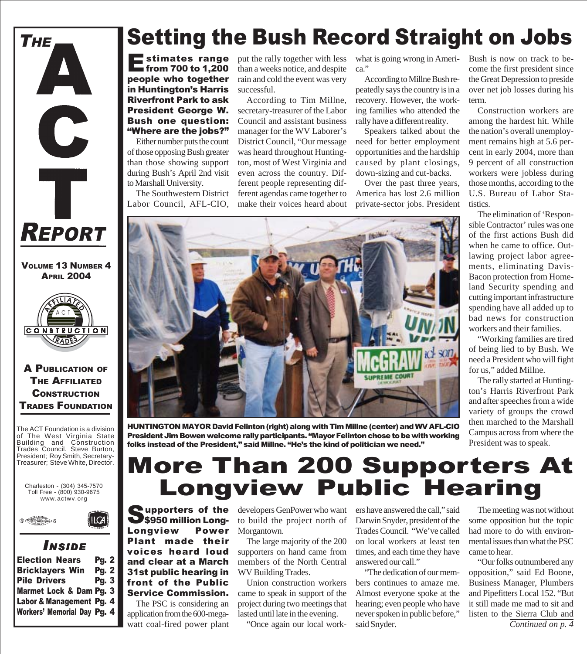

VOLUME 13 NUMBER 4 **APRIL 2004** 



#### A PUBLICATION OF THE AFFILIATED **CONSTRUCTION** TRADES FOUNDATION

The ACT Foundation is a division of The West Virginia State Building and Construction Trades Council. Steve Burton, President; Roy Smith, Secretary-Treasurer; Steve White, Director.

Charleston - (304) 345-7570 Toll Free - (800) 930-9675 www.actwv.org



#### *I NSIDE*

| <b>Election Nears</b>              | <b>Pg. 2</b> |  |
|------------------------------------|--------------|--|
| <b>Bricklayers Win</b>             | <b>Pg. 2</b> |  |
| <b>Pile Drivers</b>                | Pg. $3$      |  |
| Marmet Lock & Dam Pg. 3            |              |  |
| Labor & Management Pg. 4           |              |  |
| <b>Workers' Memorial Day Pg. 4</b> |              |  |

## Setting the Bush Record Straight on Jobs

Estimates range from 700 to 1,200 people who together in Huntington's Harris Riverfront Park to ask President George W. Bush one question: "Where are the jobs?"

Either number puts the count of those opposing Bush greater than those showing support during Bush's April 2nd visit to Marshall University.

The Southwestern District Labor Council, AFL-CIO, put the rally together with less than a weeks notice, and despite rain and cold the event was very successful.

According to Tim Millne, secretary-treasurer of the Labor Council and assistant business manager for the WV Laborer's District Council, "Our message was heard throughout Huntington, most of West Virginia and even across the country. Different people representing different agendas came together to make their voices heard about what is going wrong in America."

According to Millne Bush repeatedly says the country is in a recovery. However, the working families who attended the rally have a different reality.

Speakers talked about the need for better employment opportunities and the hardship caused by plant closings, down-sizing and cut-backs.

Over the past three years, America has lost 2.6 million private-sector jobs. President Bush is now on track to become the first president since the Great Depression to preside over net job losses during his term.

Construction workers are among the hardest hit. While the nation's overall unemployment remains high at 5.6 percent in early 2004, more than 9 percent of all construction workers were jobless during those months, according to the U.S. Bureau of Labor Statistics.

The elimination of 'Responsible Contractor' rules was one of the first actions Bush did when he came to office. Outlawing project labor agreements, eliminating Davis-Bacon protection from Homeland Security spending and cutting important infrastructure spending have all added up to bad news for construction workers and their families.

"Working families are tired of being lied to by Bush. We need a President who will fight for us," added Millne.

The rally started at Huntington's Harris Riverfront Park and after speeches from a wide variety of groups the crowd then marched to the Marshall Campus across from where the President was to speak.

HUNTINGTON MAYOR David Felinton (right) along with Tim Millne (center) and WV AFL-CIO President Jim Bowen welcome rally participants. "Mayor Felinton chose to be with working folks instead of the President," said Millne. "He's the kind of politician we need."

## More Than 200 Supporters At Longview Public Hearing

Supporters of the<br>S\$950 million Long-<br>Longview Power S950 million Long-Longview Plant made their voices heard loud and clear at a March 31st public hearing in front of the Public Service Commission.

The PSC is considering an application from the 600-megawatt coal-fired power plant

developers GenPower who want to build the project north of Morgantown.

The large majority of the 200 supporters on hand came from members of the North Central WV Building Trades.

Union construction workers came to speak in support of the project during two meetings that lasted until late in the evening.

"Once again our local work-

ers have answered the call," said Darwin Snyder, president of the Trades Council. "We've called on local workers at least ten times, and each time they have answered our call."

"The dedication of our members continues to amaze me. Almost everyone spoke at the hearing; even people who have never spoken in public before," said Snyder.

The meeting was not without some opposition but the topic had more to do with environmental issues than what the PSC came to hear.

"Our folks outnumbered any opposition," said Ed Boone, Business Manager, Plumbers and Pipefitters Local 152. "But it still made me mad to sit and listen to the Sierra Club and *Continued on p. 4*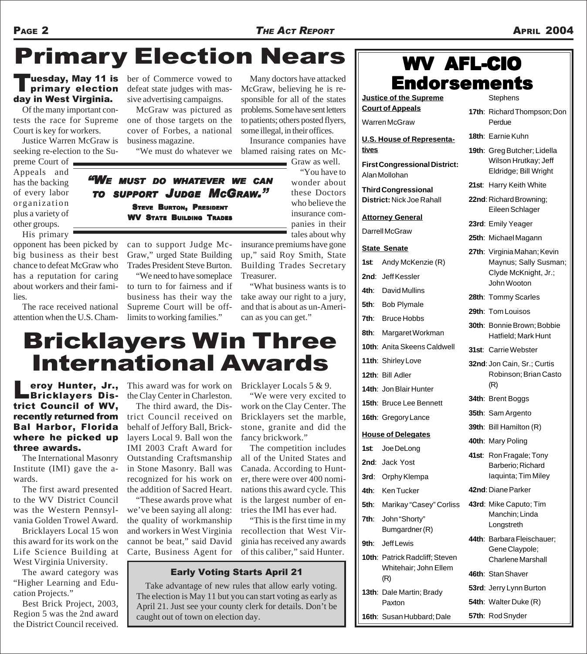# Primary Election Nears

### primary election day in West Virginia.

Of the many important contests the race for Supreme Court is key for workers.

Justice Warren McGraw is seeking re-election to the Su-

preme Court of Appeals and has the backing of every labor organization plus a variety of other groups.

His primary

opponent has been picked by big business as their best chance to defeat McGraw who has a reputation for caring about workers and their families.

The race received national attention when the U.S. Chamber of Commerce vowed to defeat state judges with massive advertising campaigns.

McGraw was pictured as one of those targets on the cover of Forbes, a national business magazine.

Many doctors have attacked McGraw, believing he is responsible for all of the states problems. Some have sent letters to patients; others posted flyers, some illegal, in their offices.

"We must do whatever we blamed raising rates on Mc-Insurance companies have Graw as well.

"You have to wonder about these Doctors who believe the insurance companies in their tales about why

insurance premiums have gone up," said Roy Smith, State Building Trades Secretary Treasurer.

"What business wants is to take away our right to a jury, and that is about as un-American as you can get."

## Bricklayers Win Three International Awards

**Leroy Hunter, Jr.,<br>Bricklayers Dis**trict Council of WV, recently returned from Bal Harbor, Florida where he picked up three awards.

The International Masonry Institute (IMI) gave the awards.

The first award presented to the WV District Council was the Western Pennsylvania Golden Trowel Award.

Bricklayers Local 15 won this award for its work on the Life Science Building at West Virginia University.

The award category was "Higher Learning and Education Projects."

Best Brick Project, 2003, Region 5 was the 2nd award the District Council received.

This award was for work on the Clay Center in Charleston.

The third award, the District Council received on behalf of Jeffory Ball, Bricklayers Local 9. Ball won the IMI 2003 Craft Award for Outstanding Craftsmanship in Stone Masonry. Ball was recognized for his work on the addition of Sacred Heart.

"These awards prove what we've been saying all along: the quality of workmanship and workers in West Virginia cannot be beat," said David Carte, Business Agent for

Bricklayer Locals 5 & 9.

"We were very excited to work on the Clay Center. The Bricklayers set the marble, stone, granite and did the fancy brickwork."

The competition includes all of the United States and Canada. According to Hunter, there were over 400 nominations this award cycle. This is the largest number of entries the IMI has ever had.

"This is the first time in my recollection that West Virginia has received any awards of this caliber," said Hunter.

#### Early Voting Starts April 21

Take advantage of new rules that allow early voting. The election is May 11 but you can start voting as early as April 21. Just see your county clerk for details. Don't be caught out of town on election day.

## **Stephens** WV AFL-CIO  $\frac{1}{2}$  uesday, May 11 is ber of Commerce vowed to Many doctors have attacked  $\|$  **Endorsements**

**Justice of the Supreme Court of Appeals** Warren McGraw

**U.S. House of Representatives First Congressional District:** Alan Mollohan **Third Congressional District:** Nick Joe Rahall

**Attorney General**

Darrell McGraw

#### **State Senate**

| 1st: | Andy McKenzie (R)                                       |               |
|------|---------------------------------------------------------|---------------|
|      | 2nd: Jeff Kessler                                       |               |
|      | <b>4th:</b> David Mullins                               | 28th:         |
|      | 5th: Bob Plymale                                        | 29th:         |
| 7th: | <b>Bruce Hobbs</b>                                      | 30th:         |
| 8th: | Margaret Workman                                        |               |
|      | 10th: Anita Skeens Caldwell                             | 31st:         |
|      | 11th: Shirley Love                                      | 32nd          |
|      | 12th: Bill Adler                                        |               |
|      | 14th: Jon Blair Hunter                                  |               |
|      | 15th: Bruce Lee Bennett                                 | 34th:         |
|      | 16th: Gregory Lance                                     | <b>35th</b> : |
|      | <b>House of Delegates</b>                               | 39th:         |
| 1st: | Joe DeLong                                              | 40th:         |
|      | 2nd: Jack Yost                                          | 41st:         |
|      | 3rd: Orphy Klempa                                       |               |
|      | 4th: Ken Tucker                                         | 42nd          |
|      | 5th: Marikay "Casey" Corliss                            | 43rd          |
| 7th: | John "Shorty"<br>Bumgardner(R)                          |               |
| 9th: | Jeff Lewis                                              | 44th:         |
|      | 10th: Patrick Radcliff; Steven<br>Whitehair; John Ellem |               |
|      | (R)                                                     | 46th:         |
|      | 13th: Dale Martin; Brady                                | 53rd          |
|      | Paxton                                                  | 54th:         |
|      | 16th: Susan Hubbard; Dale                               | 57th:         |

|       | Perdue                                                                                      |
|-------|---------------------------------------------------------------------------------------------|
|       | 18th: Earnie Kuhn                                                                           |
|       | 19th: Greg Butcher; Lidella<br>Wilson Hrutkay; Jeff<br>Eldridge; Bill Wright                |
| 21st: | Harry Keith White                                                                           |
|       | 22nd: Richard Browning;<br>Eileen Schlager                                                  |
|       | 23rd: Emily Yeager                                                                          |
|       | 25th: Michael Magann                                                                        |
|       | 27th: Virginia Mahan; Kevin<br>Maynus; Sally Susman;<br>Clyde McKnight, Jr.;<br>John Wooton |
|       | 28th: Tommy Scarles                                                                         |
|       | 29th: Tom Louisos                                                                           |
|       | 30th: Bonnie Brown; Bobbie<br>Hatfield; Mark Hunt                                           |
|       | 31st: Carrie Webster                                                                        |
|       | 32nd: Jon Cain, Sr.; Curtis<br>Robinson; Brian Casto<br>(R)                                 |
|       | 34th: Brent Boggs                                                                           |
|       | 35th: Sam Argento                                                                           |
|       | 39th: Bill Hamilton (R)                                                                     |
|       | 40th: Mary Poling                                                                           |
| 41st: | Ron Fragale; Tony<br>Barberio: Richard                                                      |

- Barberio; Richard Iaquinta; Tim Miley
- **4: Diane Parker**
- **43rd**: Mike Caputo; Tim Manchin; Linda **Longstreth**
- **44th**: Barbara Fleischauer; Gene Claypole; Charlene Marshall
- **46th**: Stan Shaver
- **53rd**: Jerry Lynn Burton
- **54th**: Walter Duke (R)
- **57th**: Rod Snyder

**17th**: Richard Thompson; Don

*"WE MUST DO WHATEVER WE CAN TO SUPPORT JUDGE MCGRAW."* STEVE BURTON, PRESIDENT WV STATE BUILDING TRADES

> can to support Judge Mc-Graw," urged State Building Trades President Steve Burton. "We need to have someplace to turn to for fairness and if business has their way the Supreme Court will be offlimits to working families."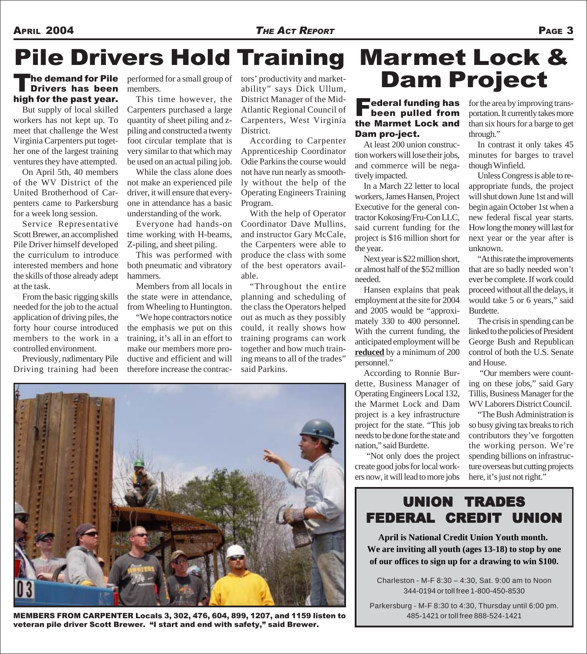#### APRIL 2004 *THE ACT REPORT* PAGE 3

# Pile Drivers Hold Training

## The demand for Pile<br>Drivers has been high for the past year.

But supply of local skilled workers has not kept up. To meet that challenge the West Virginia Carpenters put together one of the largest training ventures they have attempted.

On April 5th, 40 members of the WV District of the United Brotherhood of Carpenters came to Parkersburg for a week long session.

Service Representative Scott Brewer, an accomplished Pile Driver himself developed the curriculum to introduce interested members and hone the skills of those already adept at the task.

From the basic rigging skills needed for the job to the actual application of driving piles, the forty hour course introduced members to the work in a controlled environment.

Previously, rudimentary Pile Driving training had been performed for a small group of members.

This time however, the Carpenters purchased a large quantity of sheet piling and zpiling and constructed a twenty foot circular template that is very similar to that which may be used on an actual piling job.

While the class alone does not make an experienced pile driver, it will ensure that everyone in attendance has a basic understanding of the work.

Everyone had hands-on time working with H-beams, Z-piling, and sheet piling.

This was performed with both pneumatic and vibratory hammers.

Members from all locals in the state were in attendance, from Wheeling to Huntington.

"We hope contractors notice the emphasis we put on this training, it's all in an effort to make our members more productive and efficient and will therefore increase the contractors' productivity and marketability" says Dick Ullum, District Manager of the Mid-Atlantic Regional Council of Carpenters, West Virginia District.

According to Carpenter Apprenticeship Coordinator Odie Parkins the course would not have run nearly as smoothly without the help of the Operating Engineers Training Program.

With the help of Operator Coordinator Dave Mullins, and instructor Gary McCale, the Carpenters were able to produce the class with some of the best operators available.

"Throughout the entire planning and scheduling of the class the Operators helped out as much as they possibly could, it really shows how training programs can work together and how much training means to all of the trades" said Parkins.



MEMBERS FROM CARPENTER Locals 3, 302, 476, 604, 899, 1207, and 1159 listen to veteran pile driver Scott Brewer. "I start and end with safety," said Brewer.

## Marmet Lock & Dam Project

#### $\blacksquare$ ederal funding has been pulled from the Marmet Lock and Dam pro-ject.

At least 200 union construction workers will lose their jobs, and commerce will be negatively impacted.

In a March 22 letter to local workers, James Hansen, Project Executive for the general contractor Kokosing/Fru-Con LLC, said current funding for the project is \$16 million short for the year.

Next year is \$22 million short, or almost half of the \$52 million needed.

Hansen explains that peak employment at the site for 2004 and 2005 would be "approximately 330 to 400 personnel. With the current funding, the anticipated employment will be **reduced** by a minimum of 200 personnel."

According to Ronnie Burdette, Business Manager of Operating Engineers Local 132, the Marmet Lock and Dam project is a key infrastructure project for the state. "This job needs to be done for the state and nation," said Burdette.

 "Not only does the project create good jobs for local workers now, it will lead to more jobs

for the area by improving transportation. It currently takes more than six hours for a barge to get through."

In contrast it only takes 45 minutes for barges to travel though Winfield.

Unless Congress is able to reappropriate funds, the project will shut down June 1st and will begin again October 1st when a new federal fiscal year starts. How long the money will last for next year or the year after is unknown.

"At this rate the improvements that are so badly needed won't ever be complete. If work could proceed without all the delays, it would take 5 or 6 years," said Burdette.

The crisis in spending can be linked to the policies of President George Bush and Republican control of both the U.S. Senate and House.

 "Our members were counting on these jobs," said Gary Tillis, Business Manager for the WV Laborers District Council.

"The Bush Administration is so busy giving tax breaks to rich contributors they've forgotten the working person. We're spending billions on infrastructure overseas but cutting projects here, it's just not right."

### UNION TRADES FEDERAL CREDIT UNION

**April is National Credit Union Youth month. We are inviting all youth (ages 13-18) to stop by one of our offices to sign up for a drawing to win \$100.**

Charleston - M-F 8:30 – 4:30, Sat. 9:00 am to Noon 344-0194 or toll free 1-800-450-8530

Parkersburg - M-F 8:30 to 4:30, Thursday until 6:00 pm. 485-1421 or toll free 888-524-1421